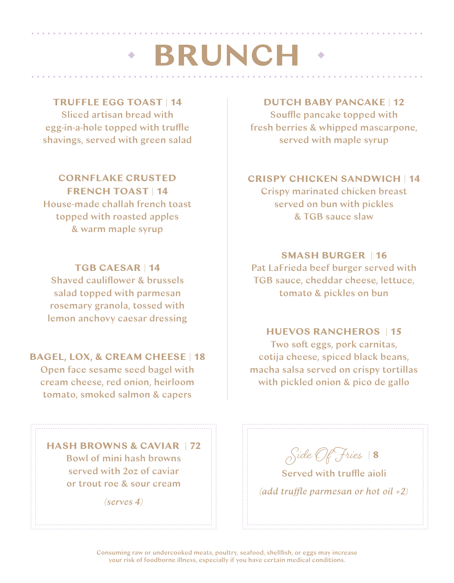### **· BRUNCH**

#### **TRUFFLE EGG TOAST** | **14**

Sliced artisan bread with egg-in-a-hole topped with truffle shavings, served with green salad

**CORNFLAKE CRUSTED FRENCH TOAST** | **14** House-made challah french toast topped with roasted apples & warm maple syrup

**TGB CAESAR** | **14**

Shaved cauliflower & brussels salad topped with parmesan rosemary granola, tossed with lemon anchovy caesar dressing

#### **BAGEL, LOX, & CREAM CHEESE** | **18**

Open face sesame seed bagel with cream cheese, red onion, heirloom tomato, smoked salmon & capers

**HASH BROWNS & CAVIAR** | **72** Bowl of mini hash browns served with 2oz of caviar or trout roe & sour cream

*(serves 4)*

#### **DUTCH BABY PANCAKE** | **12**

Souffle pancake topped with fresh berries & whipped mascarpone, served with maple syrup

#### **CRISPY CHICKEN SANDWICH** | **14**

Crispy marinated chicken breast served on bun with pickles & TGB sauce slaw

#### **SMASH BURGER** | **16**

Pat LaFrieda beef burger served with TGB sauce, cheddar cheese, lettuce, tomato & pickles on bun

#### **HUEVOS RANCHEROS** | **15**

Two soft eggs, pork carnitas, cotija cheese, spiced black beans, macha salsa served on crispy tortillas with pickled onion & pico de gallo

**Side Of Fries** <sup>|</sup> **<sup>8</sup>**

Served with truffle aioli *(add tru!e parmesan or hot oil +2)*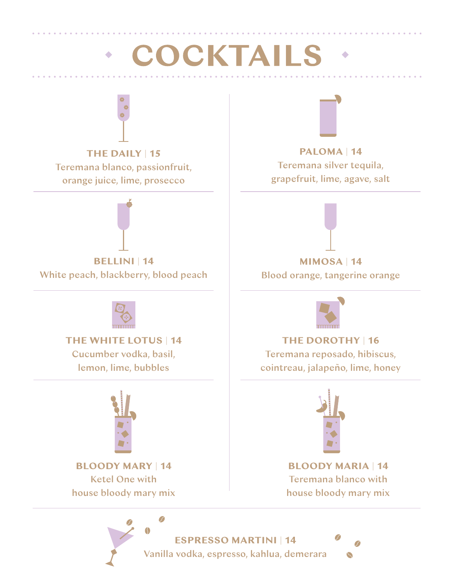# COCKTAILS



**THE DAILY** | **15** Teremana blanco, passionfruit, orange juice, lime, prosecco



**BELLINI** | **14** White peach, blackberry, blood peach



**THE WHITE LOTUS** | **14** Cucumber vodka, basil,

lemon, lime, bubbles



**BLOODY MARY** | **14** Ketel One with house bloody mary mix



**PALOMA** | **14** Teremana silver tequila, grapefruit, lime, agave, salt



Blood orange, tangerine orange



**THE DOROTHY** | **16**

Teremana reposado, hibiscus, cointreau, jalapeño, lime, honey



**BLOODY MARIA** | **14** Teremana blanco with house bloody mary mix

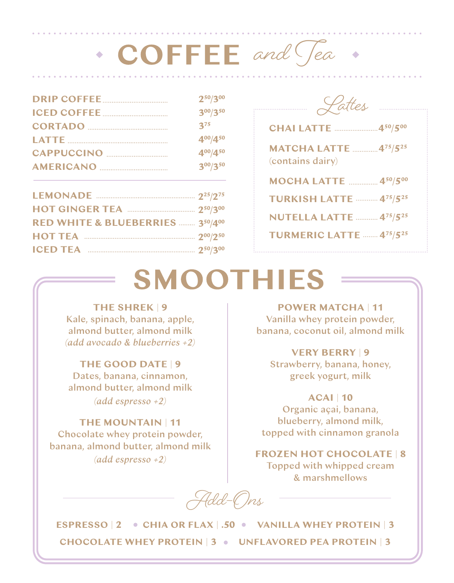### **• COFFEE** and Jea .

| $2^{50}/3^{00}$ |
|-----------------|
| $3^{00}/3^{50}$ |
| $3^{75}$        |
| $4^{00}/4^{50}$ |
| $4^{00}/4^{50}$ |
| 300/350         |
|                 |

| RED WHITE & BLUEBERRIES  350/400 |  |
|----------------------------------|--|
|                                  |  |
|                                  |  |



| <b>CHAI LATTE</b> 450/500                        |
|--------------------------------------------------|
| <b>MATCHA LATTE  475/525</b><br>(contains dairy) |
| <b>MOCHA LATTE  450/500</b>                      |
| <b>TURKISH LATTE  475/525</b>                    |
| <b>NUTELLA LATTE  475/525</b>                    |
| <b>TURMERIC LATTE  475/525</b>                   |
|                                                  |

### **SMOOTHIES**

#### **THE SHREK** | **9**

Kale, spinach, banana, apple, almond butter, almond milk *(add avocado & blueberries +2)*

#### **THE GOOD DATE** | **9**

Dates, banana, cinnamon, almond butter, almond milk *(add espresso +2)*

#### **THE MOUNTAIN** | **11**

Chocolate whey protein powder, banana, almond butter, almond milk *(add espresso +2)*

**POWER MATCHA** | **11** Vanilla whey protein powder, banana, coconut oil, almond milk

#### **VERY BERRY** | **9**

Strawberry, banana, honey, greek yogurt, milk

**ACAI** | **10** Organic açai, banana, blueberry, almond milk, topped with cinnamon granola

**FROZEN HOT CHOCOLATE** | **8** Topped with whipped cream & marshmellows

**Add-Ons**

**ESPRESSO** | **2** CHIA OR FLAX | .50 WANILLA WHEY PROTEIN | 3 **CHOCOLATE WHEY PROTEIN** | **3 UNFLAVORED PEA PROTEIN** | **3**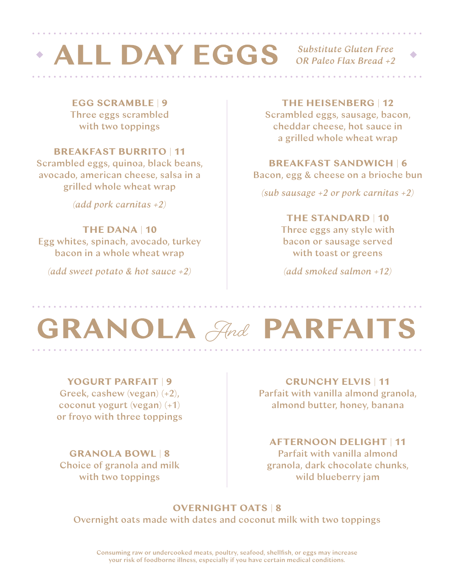# $\cdot$  ALL DAY EGGS Substitute Gluten Free

OR Paleo Flax Bread +2

**EGG SCRAMBLE** | **9** Three eggs scrambled with two toppings

#### **BREAKFAST BURRITO** | **11**

Scrambled eggs, quinoa, black beans, avocado, american cheese, salsa in a grilled whole wheat wrap

*(add pork carnitas +2)*

#### **THE DANA** | **10**

Egg whites, spinach, avocado, turkey bacon in a whole wheat wrap

*(add sweet potato & hot sauce +2)*

#### **THE HEISENBERG** | **12**

Scrambled eggs, sausage, bacon, cheddar cheese, hot sauce in a grilled whole wheat wrap

#### **BREAKFAST SANDWICH** | **6**

Bacon, egg & cheese on a brioche bun

*(sub sausage +2 or pork carnitas +2)*

#### **THE STANDARD** | **10**

Three eggs any style with bacon or sausage served with toast or greens

*(add smoked salmon +12)*

# **GRANOLA** And **PARFAITS**

#### **YOGURT PARFAIT** | **9** Greek, cashew (vegan) (+2),

coconut yogurt (vegan) (+1) or froyo with three toppings

#### **GRANOLA BOWL** | **8**

Choice of granola and milk with two toppings

**CRUNCHY ELVIS** | **11** Parfait with vanilla almond granola, almond butter, honey, banana

#### **AFTERNOON DELIGHT** | **11** Parfait with vanilla almond granola, dark chocolate chunks, wild blueberry jam

#### **OVERNIGHT OATS** | **8**

Overnight oats made with dates and coconut milk with two toppings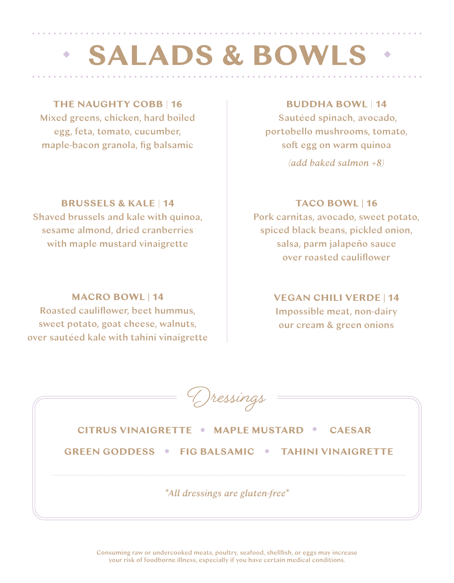# **SALADS & BOWLS**

#### **THE NAUGHTY COBB** | **16**

Mixed greens, chicken, hard boiled egg, feta, tomato, cucumber, maple-bacon granola, fig balsamic

#### **BRUSSELS & KALE** | **14**

Shaved brussels and kale with quinoa, sesame almond, dried cranberries with maple mustard vinaigrette

#### **MACRO BOWL | 14**

Roasted cauliflower, beet hummus, sweet potato, goat cheese, walnuts, over sautéed kale with tahini vinaigrette

#### **BUDDHA BOWL** | **14**

Sautéed spinach, avocado, portobello mushrooms, tomato, soft egg on warm quinoa *(add baked salmon +8)*

#### **TACO BOWL | 16**

Pork carnitas, avocado, sweet potato, spiced black beans, pickled onion, salsa, parm jalapeño sauce over roasted cauliflower

#### **VEGAN CHILI VERDE | 14**

Impossible meat, non-dairy our cream & green onions

| (Jressings                                               |
|----------------------------------------------------------|
| <b>CITRUS VINAIGRETTE • MAPLE MUSTARD • CAESAR</b>       |
| <b>GREEN GODDESS • FIG BALSAMIC • TAHINI VINAIGRETTE</b> |
|                                                          |
| *All dressings are gluten-free*                          |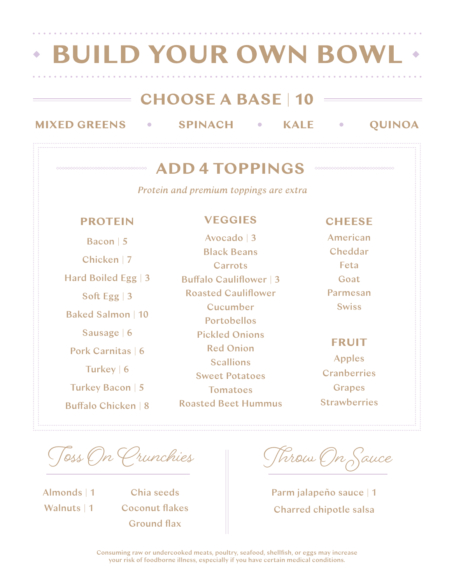| <b>BUILD YOUR OWN BOWL</b>                                   |                                                                          |                                                      |  |  |  |
|--------------------------------------------------------------|--------------------------------------------------------------------------|------------------------------------------------------|--|--|--|
| <b>MIXED GREENS</b>                                          | $=$ CHOOSE A BASE $ 10\rangle$<br><b>SPINACH</b><br><b>KALE</b>          | <b>OUINOA</b>                                        |  |  |  |
|                                                              | <b>ADD 4 TOPPINGS</b>                                                    | 66666666666666666666666666666                        |  |  |  |
|                                                              | Protein and premium toppings are extra                                   |                                                      |  |  |  |
| <b>PROTEIN</b>                                               | <b>VEGGIES</b>                                                           | <b>CHEESE</b>                                        |  |  |  |
| Bacon   5<br>Chicken   7                                     | Avocado   3<br><b>Black Beans</b><br>Carrots                             | American<br>Cheddar<br>Feta                          |  |  |  |
| Hard Boiled Egg   3<br>Soft Egg $\vert 3$                    | <b>Buffalo Cauliflower   3</b><br><b>Roasted Cauliflower</b><br>Cucumber | Goat<br>Parmesan<br><b>Swiss</b>                     |  |  |  |
| <b>Baked Salmon   10</b><br>Sausage   6<br>Pork Carnitas   6 | <b>Portobellos</b><br><b>Pickled Onions</b><br><b>Red Onion</b>          | <b>FRUIT</b>                                         |  |  |  |
| Turkey   6<br>Turkey Bacon   5                               | <b>Scallions</b><br><b>Sweet Potatoes</b>                                | <b>Apples</b><br><b>Cranberries</b><br><b>Grapes</b> |  |  |  |
| <b>Buffalo Chicken   8</b>                                   | <b>Tomatoes</b><br><b>Roasted Beet Hummus</b>                            | <b>Strawberries</b>                                  |  |  |  |

**T#s On Crunchies \$row On Sauce**

Almonds | 1 Walnuts | 1

Chia seeds Coconut flakes Ground flax

Parm jalapeño sauce | 1 Charred chipotle salsa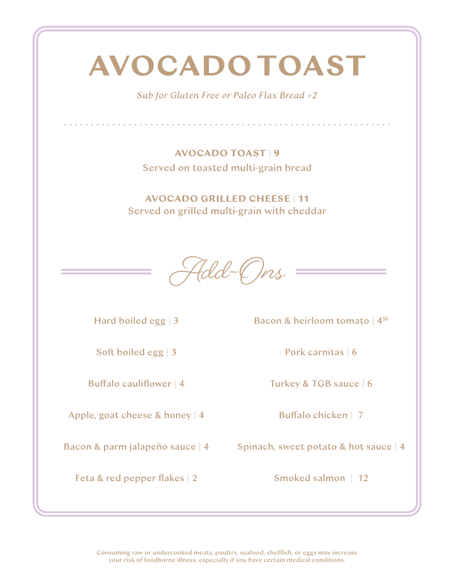### **AVOCADO TOAST**

*Sub for Gluten Free or Paleo Flax Bread +2*

. . . . . . . . . . . .

**AVOCADO TOAST** | **9** Served on toasted multi-grain bread

**AVOCADO GRILLED CHEESE** | **11** Served on grilled multi-grain with cheddar

**Add-Ons**

Hard boiled egg | 3

Soft boiled egg | 3

Buffalo cauliflower  $|4|$ 

Apple, goat cheese & honey | 4

Feta & red pepper flakes | 2

Bacon & heirloom tomato | 450

Pork carnitas | 6

Turkey & TGB sauce | 6

Buffalo chicken | 7

Bacon & parm jalapeño sauce | 4 Spinach, sweet potato & hot sauce | 4

Smoked salmon | 12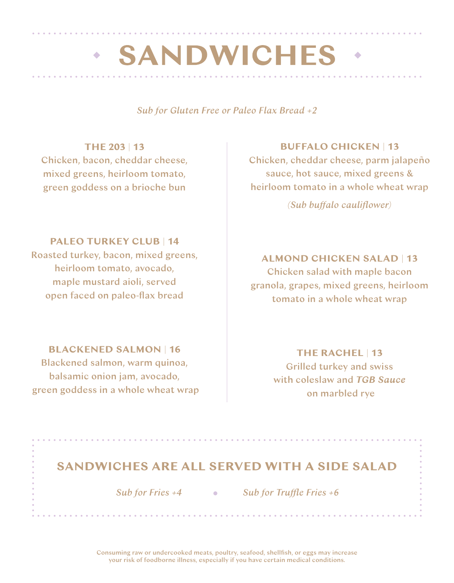### **· SANDWICHES**

*Sub for Gluten Free or Paleo Flax Bread +2*

#### **THE 203** | **13**

Chicken, bacon, cheddar cheese, mixed greens, heirloom tomato, green goddess on a brioche bun

#### **PALEO TURKEY CLUB** | **14**

Roasted turkey, bacon, mixed greens, heirloom tomato, avocado, maple mustard aioli, served open faced on paleo-flax bread

#### **BLACKENED SALMON** | **16**

Blackened salmon, warm quinoa, balsamic onion jam, avocado, green goddess in a whole wheat wrap

#### **BUFFALO CHICKEN** | **13**

Chicken, cheddar cheese, parm jalapeño sauce, hot sauce, mixed greens & heirloom tomato in a whole wheat wrap

*(Sub bu"alo cauliflower)*

#### **ALMOND CHICKEN SALAD** | **13**

Chicken salad with maple bacon granola, grapes, mixed greens, heirloom tomato in a whole wheat wrap

#### **THE RACHEL** | **13**

Grilled turkey and swiss with coleslaw and *TGB Sauce* on marbled rye

#### **SANDWICHES ARE ALL SERVED WITH A SIDE SALAD**

 *Sub for Fries +4 Sub for Tru!e Fries +6*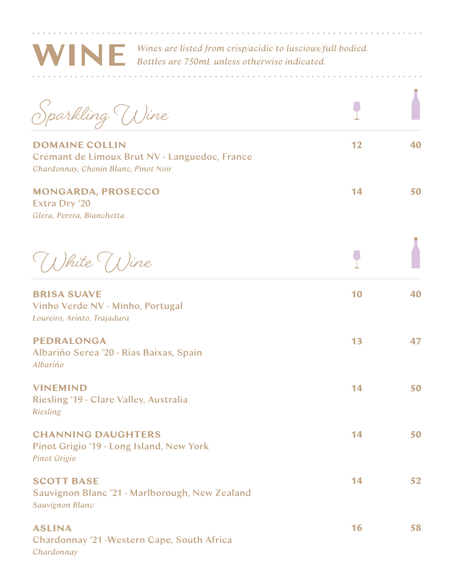

*Wines are listed from crisp/acidic to luscious/full bodied. Bottles are 750mL unless otherwise indicated.*

. . . . . . . . . . . . . . .

 $\sim$   $\sim$   $\sim$   $\sim$   $\sim$ 

| ,<br>parkling Wine                                                                                             |    |    |
|----------------------------------------------------------------------------------------------------------------|----|----|
| <b>DOMAINE COLLIN</b><br>Crémant de Limoux Brut NV - Languedoc, France<br>Chardonnay, Chenin Blanc, Pinot Noir | 12 | 40 |
| <b>MONGARDA, PROSECCO</b><br>Extra Dry '20<br>Glera, Perera, Bianchetta                                        | 14 | 50 |
| (I)hite Wine                                                                                                   |    |    |
| <b>BRISA SUAVE</b><br>Vinho Verde NV - Minho, Portugal<br>Loureiro, Arinto, Trajadura                          | 10 | 40 |
| <b>PEDRALONGA</b><br>Albariño Serea '20 - Rias Baixas, Spain<br>Albariño                                       | 13 | 47 |
| <b>VINEMIND</b><br>Riesling '19 - Clare Valley, Australia<br><b>Riesling</b>                                   | 14 | 50 |
| <b>CHANNING DAUGHTERS</b><br>Pinot Grigio '19 - Long Island, New York<br><b>Pinot Grigio</b>                   | 14 | 50 |
| <b>SCOTT BASE</b><br>Sauvignon Blanc '21 - Marlborough, New Zealand<br><b>Sauvignon Blanc</b>                  | 14 | 52 |
| <b>ASLINA</b><br>Chardonnay '21 - Western Cape, South Africa<br>Chardonnay                                     | 16 | 58 |